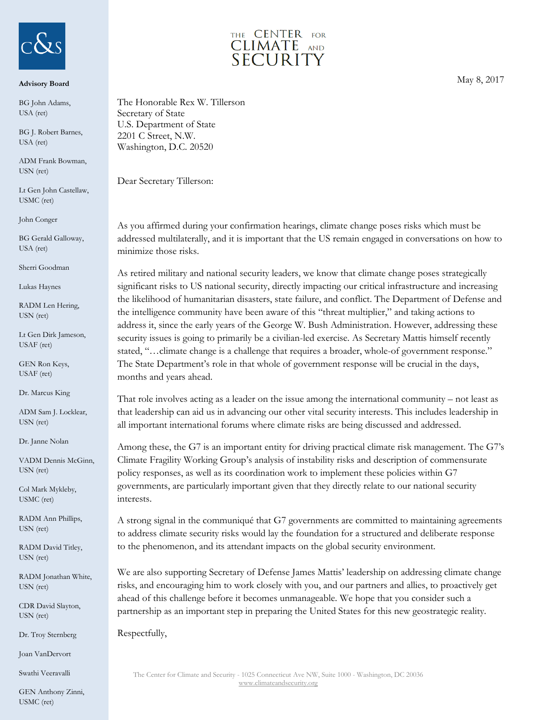

## **Advisory Board**

BG John Adams, USA (ret)

BG J. Robert Barnes, USA (ret)

ADM Frank Bowman, USN (ret)

Lt Gen John Castellaw, USMC (ret)

John Conger

BG Gerald Galloway, USA (ret)

Sherri Goodman

Lukas Haynes

RADM Len Hering, USN (ret)

Lt Gen Dirk Jameson, USAF (ret)

GEN Ron Keys, USAF (ret)

Dr. Marcus King

ADM Sam J. Locklear, USN (ret)

Dr. Janne Nolan

VADM Dennis McGinn, USN (ret)

Col Mark Mykleby, USMC (ret)

RADM Ann Phillips, USN (ret)

RADM David Titley, USN (ret)

RADM Jonathan White, USN (ret)

CDR David Slayton, USN (ret)

Dr. Troy Sternberg

Joan VanDervort

Swathi Veeravalli

GEN Anthony Zinni, USMC (ret)



May 8, 2017

The Honorable Rex W. Tillerson Secretary of State U.S. Department of State 2201 C Street, N.W. Washington, D.C. 20520

Dear Secretary Tillerson:

As you affirmed during your confirmation hearings, climate change poses risks which must be addressed multilaterally, and it is important that the US remain engaged in conversations on how to minimize those risks.

As retired military and national security leaders, we know that climate change poses strategically significant risks to US national security, directly impacting our critical infrastructure and increasing the likelihood of humanitarian disasters, state failure, and conflict. The Department of Defense and the intelligence community have been aware of this "threat multiplier," and taking actions to address it, since the early years of the George W. Bush Administration. However, addressing these security issues is going to primarily be a civilian-led exercise. As Secretary Mattis himself recently stated, "…climate change is a challenge that requires a broader, whole-of government response." The State Department's role in that whole of government response will be crucial in the days, months and years ahead.

That role involves acting as a leader on the issue among the international community – not least as that leadership can aid us in advancing our other vital security interests. This includes leadership in all important international forums where climate risks are being discussed and addressed.

Among these, the G7 is an important entity for driving practical climate risk management. The G7's Climate Fragility Working Group's analysis of instability risks and description of commensurate policy responses, as well as its coordination work to implement these policies within G7 governments, are particularly important given that they directly relate to our national security interests.

A strong signal in the communiqué that G7 governments are committed to maintaining agreements to address climate security risks would lay the foundation for a structured and deliberate response to the phenomenon, and its attendant impacts on the global security environment.

We are also supporting Secretary of Defense James Mattis' leadership on addressing climate change risks, and encouraging him to work closely with you, and our partners and allies, to proactively get ahead of this challenge before it becomes unmanageable. We hope that you consider such a partnership as an important step in preparing the United States for this new geostrategic reality.

Respectfully,